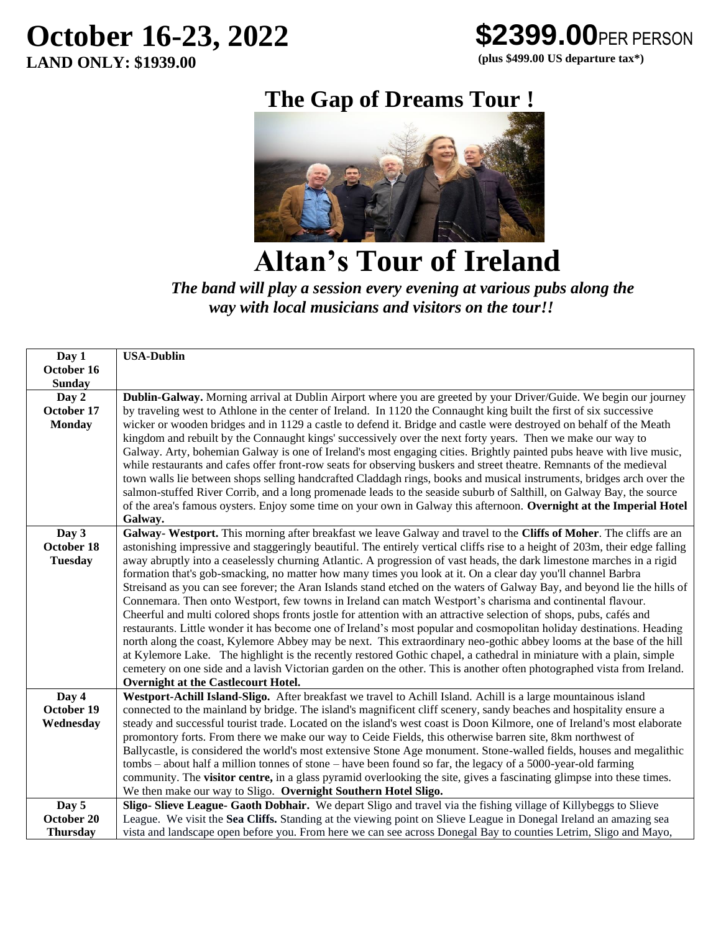# **October 16-23, 2022**

**LAND ONLY: \$1939.00**



 **(plus \$499.00 US departure tax\*)**

## **The Gap of Dreams Tour !**



 **Altan's Tour of Ireland**

*The band will play a session every evening at various pubs along the way with local musicians and visitors on the tour!!*

| <b>USA-Dublin</b>                                                                                                                                                                                                                               |  |  |  |  |
|-------------------------------------------------------------------------------------------------------------------------------------------------------------------------------------------------------------------------------------------------|--|--|--|--|
|                                                                                                                                                                                                                                                 |  |  |  |  |
|                                                                                                                                                                                                                                                 |  |  |  |  |
| Dublin-Galway. Morning arrival at Dublin Airport where you are greeted by your Driver/Guide. We begin our journey                                                                                                                               |  |  |  |  |
| by traveling west to Athlone in the center of Ireland. In 1120 the Connaught king built the first of six successive                                                                                                                             |  |  |  |  |
| wicker or wooden bridges and in 1129 a castle to defend it. Bridge and castle were destroyed on behalf of the Meath                                                                                                                             |  |  |  |  |
| kingdom and rebuilt by the Connaught kings' successively over the next forty years. Then we make our way to                                                                                                                                     |  |  |  |  |
| Galway. Arty, bohemian Galway is one of Ireland's most engaging cities. Brightly painted pubs heave with live music,                                                                                                                            |  |  |  |  |
| while restaurants and cafes offer front-row seats for observing buskers and street theatre. Remnants of the medieval                                                                                                                            |  |  |  |  |
| town walls lie between shops selling handcrafted Claddagh rings, books and musical instruments, bridges arch over the                                                                                                                           |  |  |  |  |
| salmon-stuffed River Corrib, and a long promenade leads to the seaside suburb of Salthill, on Galway Bay, the source                                                                                                                            |  |  |  |  |
| of the area's famous oysters. Enjoy some time on your own in Galway this afternoon. Overnight at the Imperial Hotel                                                                                                                             |  |  |  |  |
| Galway.                                                                                                                                                                                                                                         |  |  |  |  |
| Galway- Westport. This morning after breakfast we leave Galway and travel to the Cliffs of Moher. The cliffs are an                                                                                                                             |  |  |  |  |
| astonishing impressive and staggeringly beautiful. The entirely vertical cliffs rise to a height of 203m, their edge falling                                                                                                                    |  |  |  |  |
| away abruptly into a ceaselessly churning Atlantic. A progression of vast heads, the dark limestone marches in a rigid                                                                                                                          |  |  |  |  |
| formation that's gob-smacking, no matter how many times you look at it. On a clear day you'll channel Barbra                                                                                                                                    |  |  |  |  |
| Streisand as you can see forever; the Aran Islands stand etched on the waters of Galway Bay, and beyond lie the hills of                                                                                                                        |  |  |  |  |
| Connemara. Then onto Westport, few towns in Ireland can match Westport's charisma and continental flavour.                                                                                                                                      |  |  |  |  |
| Cheerful and multi colored shops fronts jostle for attention with an attractive selection of shops, pubs, cafés and                                                                                                                             |  |  |  |  |
| restaurants. Little wonder it has become one of Ireland's most popular and cosmopolitan holiday destinations. Heading                                                                                                                           |  |  |  |  |
| north along the coast, Kylemore Abbey may be next. This extraordinary neo-gothic abbey looms at the base of the hill                                                                                                                            |  |  |  |  |
| at Kylemore Lake. The highlight is the recently restored Gothic chapel, a cathedral in miniature with a plain, simple                                                                                                                           |  |  |  |  |
| cemetery on one side and a lavish Victorian garden on the other. This is another often photographed vista from Ireland.                                                                                                                         |  |  |  |  |
| Overnight at the Castlecourt Hotel.                                                                                                                                                                                                             |  |  |  |  |
| Westport-Achill Island-Sligo. After breakfast we travel to Achill Island. Achill is a large mountainous island                                                                                                                                  |  |  |  |  |
| connected to the mainland by bridge. The island's magnificent cliff scenery, sandy beaches and hospitality ensure a<br>steady and successful tourist trade. Located on the island's west coast is Doon Kilmore, one of Ireland's most elaborate |  |  |  |  |
| promontory forts. From there we make our way to Ceide Fields, this otherwise barren site, 8km northwest of                                                                                                                                      |  |  |  |  |
| Ballycastle, is considered the world's most extensive Stone Age monument. Stone-walled fields, houses and megalithic                                                                                                                            |  |  |  |  |
| tombs – about half a million tonnes of stone – have been found so far, the legacy of a 5000-year-old farming                                                                                                                                    |  |  |  |  |
| community. The <b>visitor centre</b> , in a glass pyramid overlooking the site, gives a fascinating glimpse into these times.                                                                                                                   |  |  |  |  |
| We then make our way to Sligo. Overnight Southern Hotel Sligo.                                                                                                                                                                                  |  |  |  |  |
| Sligo- Slieve League- Gaoth Dobhair. We depart Sligo and travel via the fishing village of Killybeggs to Slieve                                                                                                                                 |  |  |  |  |
| League. We visit the Sea Cliffs. Standing at the viewing point on Slieve League in Donegal Ireland an amazing sea                                                                                                                               |  |  |  |  |
| vista and landscape open before you. From here we can see across Donegal Bay to counties Letrim, Sligo and Mayo,                                                                                                                                |  |  |  |  |
|                                                                                                                                                                                                                                                 |  |  |  |  |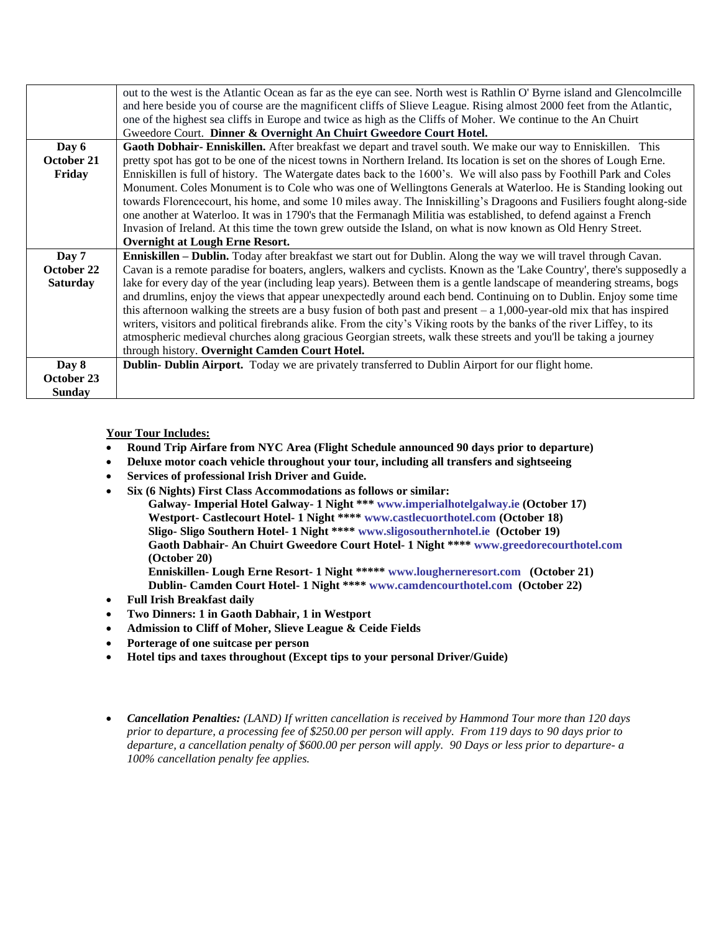|                 | out to the west is the Atlantic Ocean as far as the eye can see. North west is Rathlin O'Byrne island and Glencolmcille   |  |  |  |  |
|-----------------|---------------------------------------------------------------------------------------------------------------------------|--|--|--|--|
|                 | and here beside you of course are the magnificent cliffs of Slieve League. Rising almost 2000 feet from the Atlantic,     |  |  |  |  |
|                 | one of the highest sea cliffs in Europe and twice as high as the Cliffs of Moher. We continue to the An Chuirt            |  |  |  |  |
|                 | Gweedore Court. Dinner & Overnight An Chuirt Gweedore Court Hotel.                                                        |  |  |  |  |
| Day 6           | Gaoth Dobhair- Enniskillen. After breakfast we depart and travel south. We make our way to Enniskillen. This              |  |  |  |  |
| October 21      | pretty spot has got to be one of the nicest towns in Northern Ireland. Its location is set on the shores of Lough Erne.   |  |  |  |  |
| Friday          | Enniskillen is full of history. The Watergate dates back to the 1600's. We will also pass by Foothill Park and Coles      |  |  |  |  |
|                 | Monument. Coles Monument is to Cole who was one of Wellingtons Generals at Waterloo. He is Standing looking out           |  |  |  |  |
|                 | towards Florencecourt, his home, and some 10 miles away. The Inniskilling's Dragoons and Fusiliers fought along-side      |  |  |  |  |
|                 | one another at Waterloo. It was in 1790's that the Fermanagh Militia was established, to defend against a French          |  |  |  |  |
|                 | Invasion of Ireland. At this time the town grew outside the Island, on what is now known as Old Henry Street.             |  |  |  |  |
|                 | <b>Overnight at Lough Erne Resort.</b>                                                                                    |  |  |  |  |
| Day 7           | <b>Enniskillen – Dublin.</b> Today after breakfast we start out for Dublin. Along the way we will travel through Cavan.   |  |  |  |  |
| October 22      | Cavan is a remote paradise for boaters, anglers, walkers and cyclists. Known as the 'Lake Country', there's supposedly a  |  |  |  |  |
| <b>Saturday</b> | lake for every day of the year (including leap years). Between them is a gentle landscape of meandering streams, bogs     |  |  |  |  |
|                 | and drumlins, enjoy the views that appear unexpectedly around each bend. Continuing on to Dublin. Enjoy some time         |  |  |  |  |
|                 | this afternoon walking the streets are a busy fusion of both past and present $- a 1,000$ -year-old mix that has inspired |  |  |  |  |
|                 | writers, visitors and political firebrands alike. From the city's Viking roots by the banks of the river Liffey, to its   |  |  |  |  |
|                 | atmospheric medieval churches along gracious Georgian streets, walk these streets and you'll be taking a journey          |  |  |  |  |
|                 | through history. Overnight Camden Court Hotel.                                                                            |  |  |  |  |
| Day 8           | <b>Dublin- Dublin Airport.</b> Today we are privately transferred to Dublin Airport for our flight home.                  |  |  |  |  |
| October 23      |                                                                                                                           |  |  |  |  |
| <b>Sunday</b>   |                                                                                                                           |  |  |  |  |

#### **Your Tour Includes:**

- **Round Trip Airfare from NYC Area (Flight Schedule announced 90 days prior to departure)**
- **Deluxe motor coach vehicle throughout your tour, including all transfers and sightseeing**
- **Services of professional Irish Driver and Guide.**
- **Six (6 Nights) First Class Accommodations as follows or similar:**
	- **Galway- Imperial Hotel Galway- 1 Night \*\*\* [www.imperialhotelgalway.ie](http://www.imperialhotelgalway.ie/) (October 17) Westport- Castlecourt Hotel- 1 Night \*\*\*\* [www.castlecuorthotel.com](http://www.castlecuorthotel.com/) (October 18) Sligo- Sligo Southern Hotel- 1 Night \*\*\*\* [www.sligosouthernhotel.ie](http://www.sligosouthernhotel.ie/) (October 19) Gaoth Dabhair- An Chuirt Gweedore Court Hotel- 1 Night \*\*\*[\\* www.greedorecourthotel.com](http://www.greedorecourthotel.com/) (October 20)**

**Enniskillen- Lough Erne Resort- 1 Night \*\*\*\*[\\* www.lougherneresort.com](http://www.lougherneresort.com/) (October 21) Dublin- Camden Court Hotel- 1 Night \*\*\*[\\* www.camdencourthotel.com](http://www.camdencourthotel.com/) (October 22)**

- **Full Irish Breakfast daily**
- **Two Dinners: 1 in Gaoth Dabhair, 1 in Westport**
- **Admission to Cliff of Moher, Slieve League & Ceide Fields**
- **Porterage of one suitcase per person**
- **Hotel tips and taxes throughout (Except tips to your personal Driver/Guide)**
- *Cancellation Penalties: (LAND) If written cancellation is received by Hammond Tour more than 120 days prior to departure, a processing fee of \$250.00 per person will apply. From 119 days to 90 days prior to departure, a cancellation penalty of \$600.00 per person will apply. 90 Days or less prior to departure- a 100% cancellation penalty fee applies.*